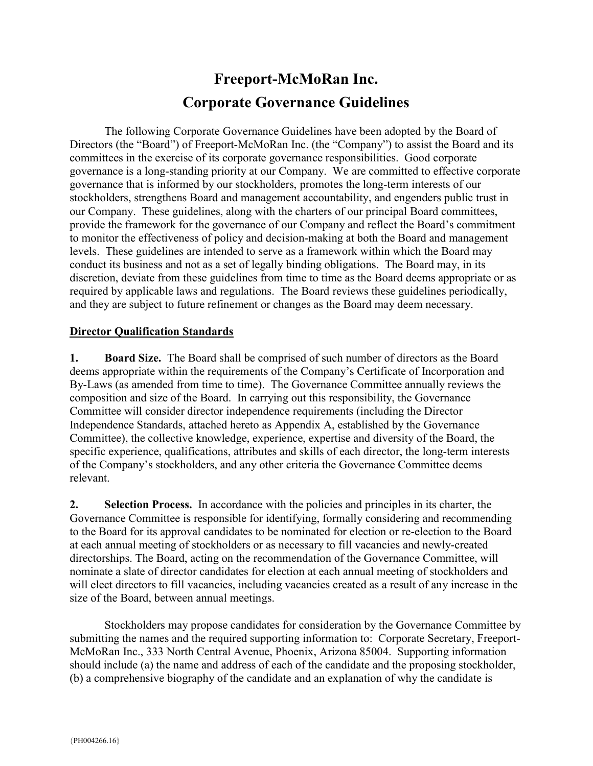# Freeport-McMoRan Inc. Corporate Governance Guidelines

 The following Corporate Governance Guidelines have been adopted by the Board of Directors (the "Board") of Freeport-McMoRan Inc. (the "Company") to assist the Board and its committees in the exercise of its corporate governance responsibilities. Good corporate governance is a long-standing priority at our Company. We are committed to effective corporate governance that is informed by our stockholders, promotes the long-term interests of our stockholders, strengthens Board and management accountability, and engenders public trust in our Company. These guidelines, along with the charters of our principal Board committees, provide the framework for the governance of our Company and reflect the Board's commitment to monitor the effectiveness of policy and decision-making at both the Board and management levels. These guidelines are intended to serve as a framework within which the Board may conduct its business and not as a set of legally binding obligations. The Board may, in its discretion, deviate from these guidelines from time to time as the Board deems appropriate or as required by applicable laws and regulations. The Board reviews these guidelines periodically, and they are subject to future refinement or changes as the Board may deem necessary.

# Director Qualification Standards

1. Board Size. The Board shall be comprised of such number of directors as the Board deems appropriate within the requirements of the Company's Certificate of Incorporation and By-Laws (as amended from time to time). The Governance Committee annually reviews the composition and size of the Board. In carrying out this responsibility, the Governance Committee will consider director independence requirements (including the Director Independence Standards, attached hereto as Appendix A, established by the Governance Committee), the collective knowledge, experience, expertise and diversity of the Board, the specific experience, qualifications, attributes and skills of each director, the long-term interests of the Company's stockholders, and any other criteria the Governance Committee deems relevant.

2. Selection Process. In accordance with the policies and principles in its charter, the Governance Committee is responsible for identifying, formally considering and recommending to the Board for its approval candidates to be nominated for election or re-election to the Board at each annual meeting of stockholders or as necessary to fill vacancies and newly-created directorships. The Board, acting on the recommendation of the Governance Committee, will nominate a slate of director candidates for election at each annual meeting of stockholders and will elect directors to fill vacancies, including vacancies created as a result of any increase in the size of the Board, between annual meetings.

Stockholders may propose candidates for consideration by the Governance Committee by submitting the names and the required supporting information to: Corporate Secretary, Freeport-McMoRan Inc., 333 North Central Avenue, Phoenix, Arizona 85004. Supporting information should include (a) the name and address of each of the candidate and the proposing stockholder, (b) a comprehensive biography of the candidate and an explanation of why the candidate is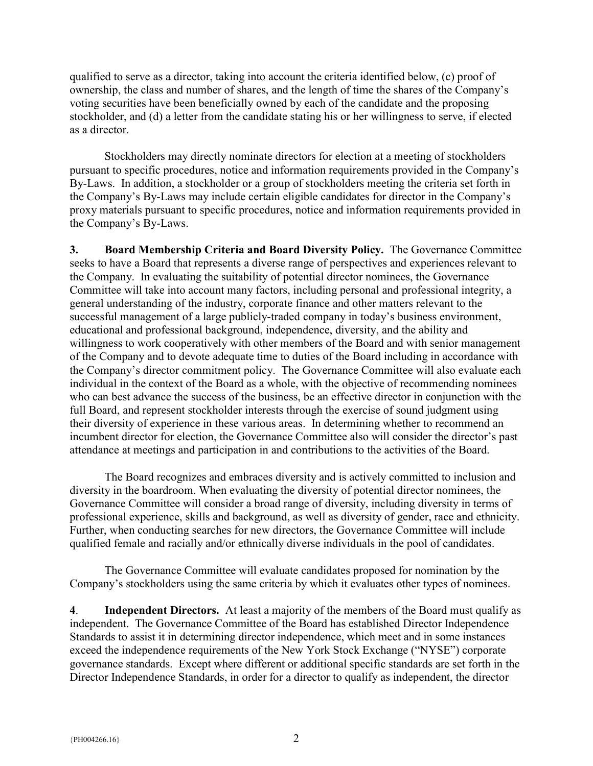qualified to serve as a director, taking into account the criteria identified below, (c) proof of ownership, the class and number of shares, and the length of time the shares of the Company's voting securities have been beneficially owned by each of the candidate and the proposing stockholder, and (d) a letter from the candidate stating his or her willingness to serve, if elected as a director.

Stockholders may directly nominate directors for election at a meeting of stockholders pursuant to specific procedures, notice and information requirements provided in the Company's By-Laws. In addition, a stockholder or a group of stockholders meeting the criteria set forth in the Company's By-Laws may include certain eligible candidates for director in the Company's proxy materials pursuant to specific procedures, notice and information requirements provided in the Company's By-Laws.

3. Board Membership Criteria and Board Diversity Policy. The Governance Committee seeks to have a Board that represents a diverse range of perspectives and experiences relevant to the Company. In evaluating the suitability of potential director nominees, the Governance Committee will take into account many factors, including personal and professional integrity, a general understanding of the industry, corporate finance and other matters relevant to the successful management of a large publicly-traded company in today's business environment, educational and professional background, independence, diversity, and the ability and willingness to work cooperatively with other members of the Board and with senior management of the Company and to devote adequate time to duties of the Board including in accordance with the Company's director commitment policy. The Governance Committee will also evaluate each individual in the context of the Board as a whole, with the objective of recommending nominees who can best advance the success of the business, be an effective director in conjunction with the full Board, and represent stockholder interests through the exercise of sound judgment using their diversity of experience in these various areas. In determining whether to recommend an incumbent director for election, the Governance Committee also will consider the director's past attendance at meetings and participation in and contributions to the activities of the Board.

 The Board recognizes and embraces diversity and is actively committed to inclusion and diversity in the boardroom. When evaluating the diversity of potential director nominees, the Governance Committee will consider a broad range of diversity, including diversity in terms of professional experience, skills and background, as well as diversity of gender, race and ethnicity. Further, when conducting searches for new directors, the Governance Committee will include qualified female and racially and/or ethnically diverse individuals in the pool of candidates.

 The Governance Committee will evaluate candidates proposed for nomination by the Company's stockholders using the same criteria by which it evaluates other types of nominees.

4. Independent Directors. At least a majority of the members of the Board must qualify as independent. The Governance Committee of the Board has established Director Independence Standards to assist it in determining director independence, which meet and in some instances exceed the independence requirements of the New York Stock Exchange ("NYSE") corporate governance standards. Except where different or additional specific standards are set forth in the Director Independence Standards, in order for a director to qualify as independent, the director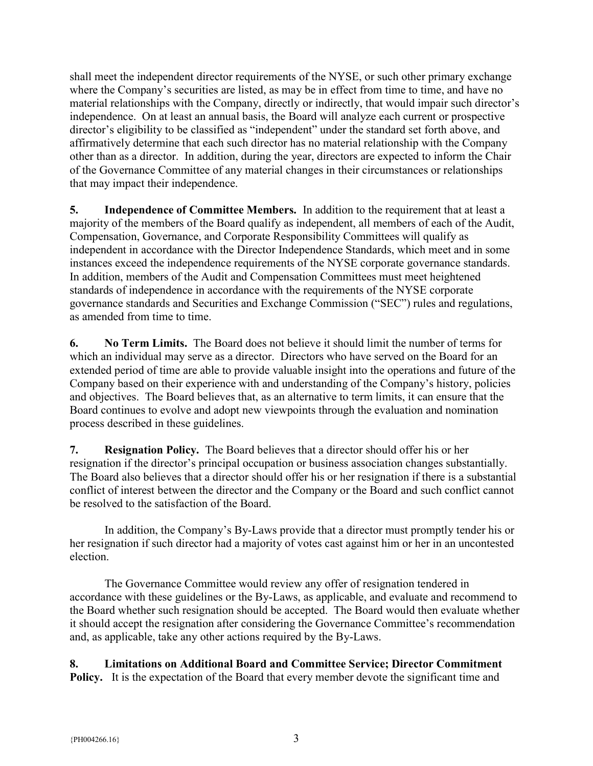shall meet the independent director requirements of the NYSE, or such other primary exchange where the Company's securities are listed, as may be in effect from time to time, and have no material relationships with the Company, directly or indirectly, that would impair such director's independence. On at least an annual basis, the Board will analyze each current or prospective director's eligibility to be classified as "independent" under the standard set forth above, and affirmatively determine that each such director has no material relationship with the Company other than as a director. In addition, during the year, directors are expected to inform the Chair of the Governance Committee of any material changes in their circumstances or relationships that may impact their independence.

5. Independence of Committee Members. In addition to the requirement that at least a majority of the members of the Board qualify as independent, all members of each of the Audit, Compensation, Governance, and Corporate Responsibility Committees will qualify as independent in accordance with the Director Independence Standards, which meet and in some instances exceed the independence requirements of the NYSE corporate governance standards. In addition, members of the Audit and Compensation Committees must meet heightened standards of independence in accordance with the requirements of the NYSE corporate governance standards and Securities and Exchange Commission ("SEC") rules and regulations, as amended from time to time.

6. No Term Limits. The Board does not believe it should limit the number of terms for which an individual may serve as a director. Directors who have served on the Board for an extended period of time are able to provide valuable insight into the operations and future of the Company based on their experience with and understanding of the Company's history, policies and objectives. The Board believes that, as an alternative to term limits, it can ensure that the Board continues to evolve and adopt new viewpoints through the evaluation and nomination process described in these guidelines.

7. Resignation Policy. The Board believes that a director should offer his or her resignation if the director's principal occupation or business association changes substantially. The Board also believes that a director should offer his or her resignation if there is a substantial conflict of interest between the director and the Company or the Board and such conflict cannot be resolved to the satisfaction of the Board.

In addition, the Company's By-Laws provide that a director must promptly tender his or her resignation if such director had a majority of votes cast against him or her in an uncontested election.

The Governance Committee would review any offer of resignation tendered in accordance with these guidelines or the By-Laws, as applicable, and evaluate and recommend to the Board whether such resignation should be accepted. The Board would then evaluate whether it should accept the resignation after considering the Governance Committee's recommendation and, as applicable, take any other actions required by the By-Laws.

8. Limitations on Additional Board and Committee Service; Director Commitment Policy. It is the expectation of the Board that every member devote the significant time and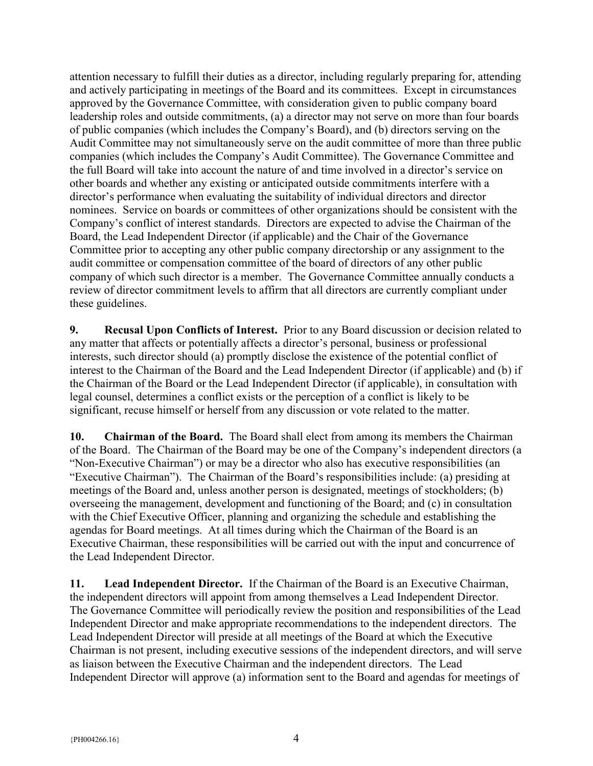attention necessary to fulfill their duties as a director, including regularly preparing for, attending and actively participating in meetings of the Board and its committees. Except in circumstances approved by the Governance Committee, with consideration given to public company board leadership roles and outside commitments, (a) a director may not serve on more than four boards of public companies (which includes the Company's Board), and (b) directors serving on the Audit Committee may not simultaneously serve on the audit committee of more than three public companies (which includes the Company's Audit Committee). The Governance Committee and the full Board will take into account the nature of and time involved in a director's service on other boards and whether any existing or anticipated outside commitments interfere with a director's performance when evaluating the suitability of individual directors and director nominees. Service on boards or committees of other organizations should be consistent with the Company's conflict of interest standards. Directors are expected to advise the Chairman of the Board, the Lead Independent Director (if applicable) and the Chair of the Governance Committee prior to accepting any other public company directorship or any assignment to the audit committee or compensation committee of the board of directors of any other public company of which such director is a member. The Governance Committee annually conducts a review of director commitment levels to affirm that all directors are currently compliant under these guidelines.

9. Recusal Upon Conflicts of Interest. Prior to any Board discussion or decision related to any matter that affects or potentially affects a director's personal, business or professional interests, such director should (a) promptly disclose the existence of the potential conflict of interest to the Chairman of the Board and the Lead Independent Director (if applicable) and (b) if the Chairman of the Board or the Lead Independent Director (if applicable), in consultation with legal counsel, determines a conflict exists or the perception of a conflict is likely to be significant, recuse himself or herself from any discussion or vote related to the matter.

10. Chairman of the Board. The Board shall elect from among its members the Chairman of the Board. The Chairman of the Board may be one of the Company's independent directors (a "Non-Executive Chairman") or may be a director who also has executive responsibilities (an "Executive Chairman"). The Chairman of the Board's responsibilities include: (a) presiding at meetings of the Board and, unless another person is designated, meetings of stockholders; (b) overseeing the management, development and functioning of the Board; and (c) in consultation with the Chief Executive Officer, planning and organizing the schedule and establishing the agendas for Board meetings. At all times during which the Chairman of the Board is an Executive Chairman, these responsibilities will be carried out with the input and concurrence of the Lead Independent Director.

11. Lead Independent Director. If the Chairman of the Board is an Executive Chairman, the independent directors will appoint from among themselves a Lead Independent Director. The Governance Committee will periodically review the position and responsibilities of the Lead Independent Director and make appropriate recommendations to the independent directors. The Lead Independent Director will preside at all meetings of the Board at which the Executive Chairman is not present, including executive sessions of the independent directors, and will serve as liaison between the Executive Chairman and the independent directors. The Lead Independent Director will approve (a) information sent to the Board and agendas for meetings of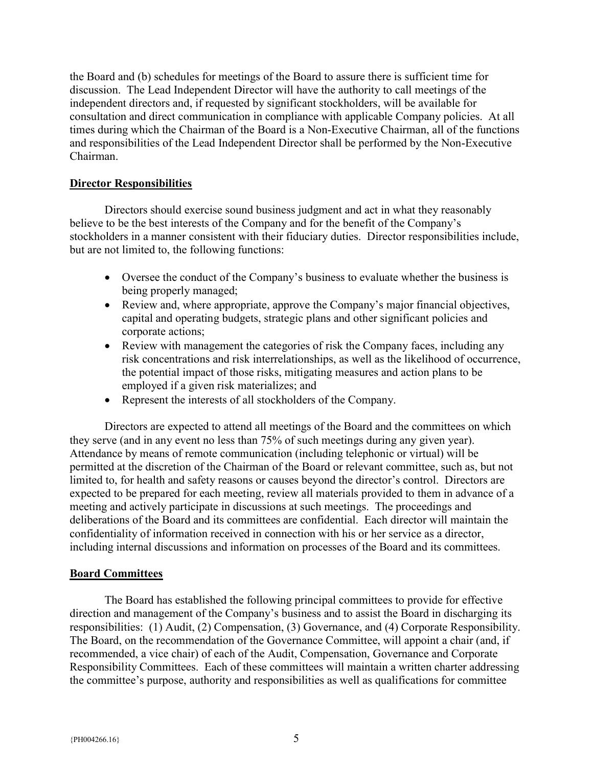the Board and (b) schedules for meetings of the Board to assure there is sufficient time for discussion. The Lead Independent Director will have the authority to call meetings of the independent directors and, if requested by significant stockholders, will be available for consultation and direct communication in compliance with applicable Company policies. At all times during which the Chairman of the Board is a Non-Executive Chairman, all of the functions and responsibilities of the Lead Independent Director shall be performed by the Non-Executive Chairman.

# Director Responsibilities

 Directors should exercise sound business judgment and act in what they reasonably believe to be the best interests of the Company and for the benefit of the Company's stockholders in a manner consistent with their fiduciary duties. Director responsibilities include, but are not limited to, the following functions:

- Oversee the conduct of the Company's business to evaluate whether the business is being properly managed;
- Review and, where appropriate, approve the Company's major financial objectives, capital and operating budgets, strategic plans and other significant policies and corporate actions;
- Review with management the categories of risk the Company faces, including any risk concentrations and risk interrelationships, as well as the likelihood of occurrence, the potential impact of those risks, mitigating measures and action plans to be employed if a given risk materializes; and
- Represent the interests of all stockholders of the Company.

 Directors are expected to attend all meetings of the Board and the committees on which they serve (and in any event no less than 75% of such meetings during any given year). Attendance by means of remote communication (including telephonic or virtual) will be permitted at the discretion of the Chairman of the Board or relevant committee, such as, but not limited to, for health and safety reasons or causes beyond the director's control. Directors are expected to be prepared for each meeting, review all materials provided to them in advance of a meeting and actively participate in discussions at such meetings. The proceedings and deliberations of the Board and its committees are confidential. Each director will maintain the confidentiality of information received in connection with his or her service as a director, including internal discussions and information on processes of the Board and its committees.

# Board Committees

The Board has established the following principal committees to provide for effective direction and management of the Company's business and to assist the Board in discharging its responsibilities: (1) Audit, (2) Compensation, (3) Governance, and (4) Corporate Responsibility. The Board, on the recommendation of the Governance Committee, will appoint a chair (and, if recommended, a vice chair) of each of the Audit, Compensation, Governance and Corporate Responsibility Committees. Each of these committees will maintain a written charter addressing the committee's purpose, authority and responsibilities as well as qualifications for committee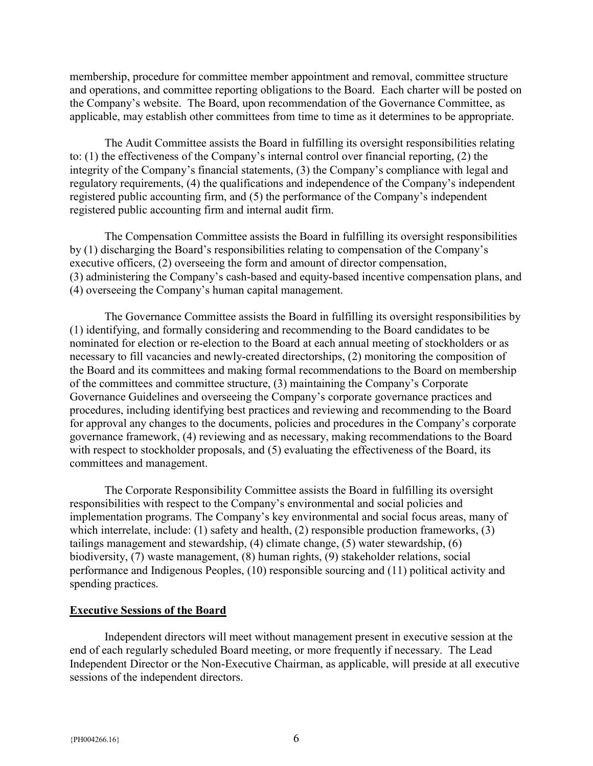membership, procedure for committee member appointment and removal, committee structure and operations, and committee reporting obligations to the Board. Each charter will be posted on the Company's website. The Board, upon recommendation of the Governance Committee, as applicable, may establish other committees from time to time as it determines to be appropriate.

The Audit Committee assists the Board in fulfilling its oversight responsibilities relating to: (1) the effectiveness of the Company's internal control over financial reporting, (2) the integrity of the Company's financial statements, (3) the Company's compliance with legal and regulatory requirements, (4) the qualifications and independence of the Company's independent registered public accounting firm, and (5) the performance of the Company's independent registered public accounting firm and internal audit firm.

The Compensation Committee assists the Board in fulfilling its oversight responsibilities by (1) discharging the Board's responsibilities relating to compensation of the Company's executive officers, (2) overseeing the form and amount of director compensation, (3) administering the Company's cash-based and equity-based incentive compensation plans, and (4) overseeing the Company's human capital management.

The Governance Committee assists the Board in fulfilling its oversight responsibilities by (1) identifying, and formally considering and recommending to the Board candidates to be nominated for election or re-election to the Board at each annual meeting of stockholders or as necessary to fill vacancies and newly-created directorships, (2) monitoring the composition of the Board and its committees and making formal recommendations to the Board on membership of the committees and committee structure, (3) maintaining the Company's Corporate Governance Guidelines and overseeing the Company's corporate governance practices and procedures, including identifying best practices and reviewing and recommending to the Board for approval any changes to the documents, policies and procedures in the Company's corporate governance framework, (4) reviewing and as necessary, making recommendations to the Board with respect to stockholder proposals, and (5) evaluating the effectiveness of the Board, its committees and management.

 The Corporate Responsibility Committee assists the Board in fulfilling its oversight responsibilities with respect to the Company's environmental and social policies and implementation programs. The Company's key environmental and social focus areas, many of which interrelate, include: (1) safety and health, (2) responsible production frameworks, (3) tailings management and stewardship, (4) climate change, (5) water stewardship, (6) biodiversity, (7) waste management, (8) human rights, (9) stakeholder relations, social performance and Indigenous Peoples, (10) responsible sourcing and (11) political activity and spending practices.

#### Executive Sessions of the Board

 Independent directors will meet without management present in executive session at the end of each regularly scheduled Board meeting, or more frequently if necessary. The Lead Independent Director or the Non-Executive Chairman, as applicable, will preside at all executive sessions of the independent directors.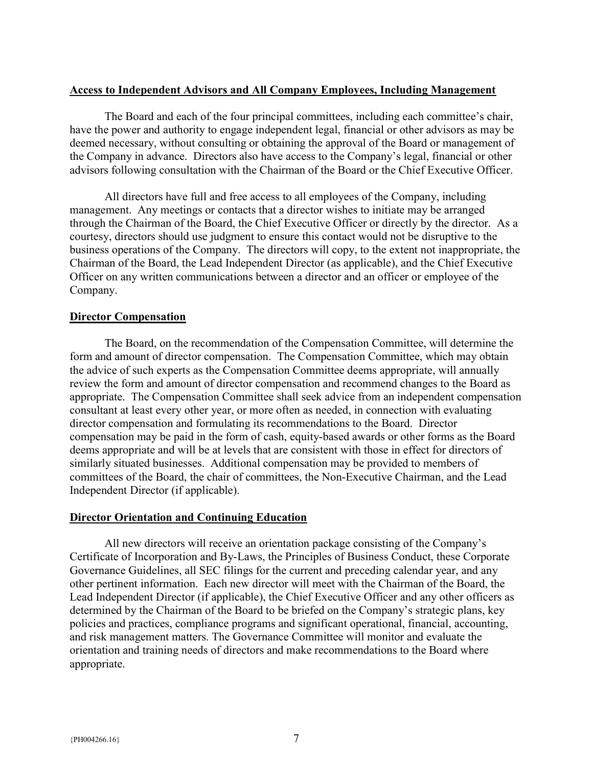# Access to Independent Advisors and All Company Employees, Including Management

The Board and each of the four principal committees, including each committee's chair, have the power and authority to engage independent legal, financial or other advisors as may be deemed necessary, without consulting or obtaining the approval of the Board or management of the Company in advance. Directors also have access to the Company's legal, financial or other advisors following consultation with the Chairman of the Board or the Chief Executive Officer.

All directors have full and free access to all employees of the Company, including management. Any meetings or contacts that a director wishes to initiate may be arranged through the Chairman of the Board, the Chief Executive Officer or directly by the director. As a courtesy, directors should use judgment to ensure this contact would not be disruptive to the business operations of the Company. The directors will copy, to the extent not inappropriate, the Chairman of the Board, the Lead Independent Director (as applicable), and the Chief Executive Officer on any written communications between a director and an officer or employee of the Company.

# Director Compensation

The Board, on the recommendation of the Compensation Committee, will determine the form and amount of director compensation. The Compensation Committee, which may obtain the advice of such experts as the Compensation Committee deems appropriate, will annually review the form and amount of director compensation and recommend changes to the Board as appropriate. The Compensation Committee shall seek advice from an independent compensation consultant at least every other year, or more often as needed, in connection with evaluating director compensation and formulating its recommendations to the Board. Director compensation may be paid in the form of cash, equity-based awards or other forms as the Board deems appropriate and will be at levels that are consistent with those in effect for directors of similarly situated businesses. Additional compensation may be provided to members of committees of the Board, the chair of committees, the Non-Executive Chairman, and the Lead Independent Director (if applicable).

# Director Orientation and Continuing Education

All new directors will receive an orientation package consisting of the Company's Certificate of Incorporation and By-Laws, the Principles of Business Conduct, these Corporate Governance Guidelines, all SEC filings for the current and preceding calendar year, and any other pertinent information. Each new director will meet with the Chairman of the Board, the Lead Independent Director (if applicable), the Chief Executive Officer and any other officers as determined by the Chairman of the Board to be briefed on the Company's strategic plans, key policies and practices, compliance programs and significant operational, financial, accounting, and risk management matters. The Governance Committee will monitor and evaluate the orientation and training needs of directors and make recommendations to the Board where appropriate.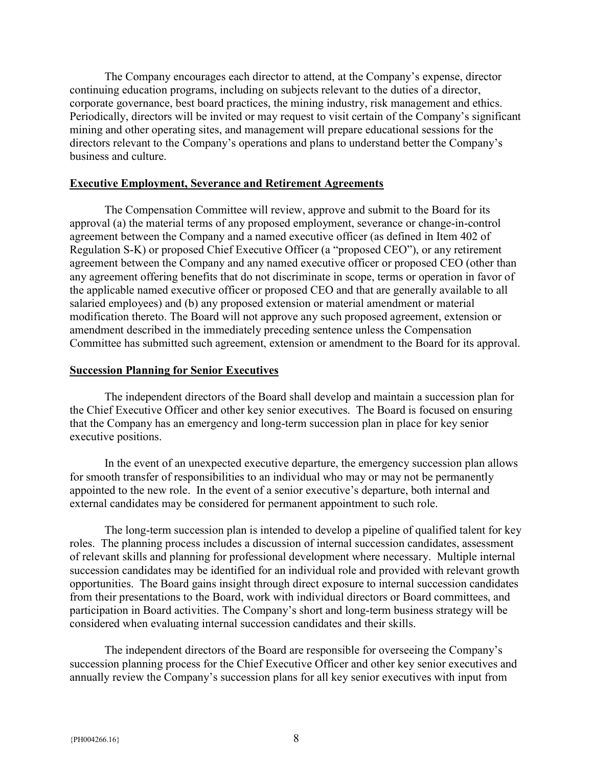The Company encourages each director to attend, at the Company's expense, director continuing education programs, including on subjects relevant to the duties of a director, corporate governance, best board practices, the mining industry, risk management and ethics. Periodically, directors will be invited or may request to visit certain of the Company's significant mining and other operating sites, and management will prepare educational sessions for the directors relevant to the Company's operations and plans to understand better the Company's business and culture.

#### Executive Employment, Severance and Retirement Agreements

The Compensation Committee will review, approve and submit to the Board for its approval (a) the material terms of any proposed employment, severance or change-in-control agreement between the Company and a named executive officer (as defined in Item 402 of Regulation S-K) or proposed Chief Executive Officer (a "proposed CEO"), or any retirement agreement between the Company and any named executive officer or proposed CEO (other than any agreement offering benefits that do not discriminate in scope, terms or operation in favor of the applicable named executive officer or proposed CEO and that are generally available to all salaried employees) and (b) any proposed extension or material amendment or material modification thereto. The Board will not approve any such proposed agreement, extension or amendment described in the immediately preceding sentence unless the Compensation Committee has submitted such agreement, extension or amendment to the Board for its approval.

#### Succession Planning for Senior Executives

The independent directors of the Board shall develop and maintain a succession plan for the Chief Executive Officer and other key senior executives. The Board is focused on ensuring that the Company has an emergency and long-term succession plan in place for key senior executive positions.

In the event of an unexpected executive departure, the emergency succession plan allows for smooth transfer of responsibilities to an individual who may or may not be permanently appointed to the new role. In the event of a senior executive's departure, both internal and external candidates may be considered for permanent appointment to such role.

The long-term succession plan is intended to develop a pipeline of qualified talent for key roles. The planning process includes a discussion of internal succession candidates, assessment of relevant skills and planning for professional development where necessary. Multiple internal succession candidates may be identified for an individual role and provided with relevant growth opportunities. The Board gains insight through direct exposure to internal succession candidates from their presentations to the Board, work with individual directors or Board committees, and participation in Board activities. The Company's short and long-term business strategy will be considered when evaluating internal succession candidates and their skills.

The independent directors of the Board are responsible for overseeing the Company's succession planning process for the Chief Executive Officer and other key senior executives and annually review the Company's succession plans for all key senior executives with input from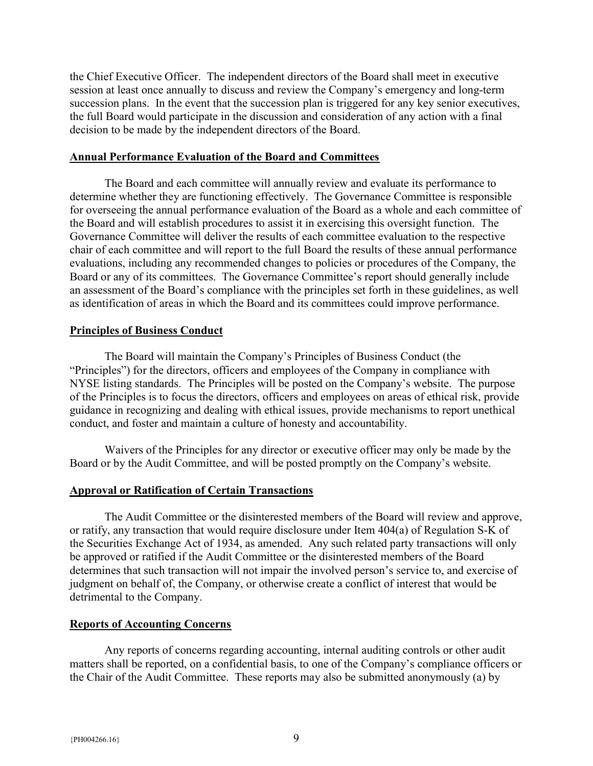the Chief Executive Officer. The independent directors of the Board shall meet in executive session at least once annually to discuss and review the Company's emergency and long-term succession plans. In the event that the succession plan is triggered for any key senior executives, the full Board would participate in the discussion and consideration of any action with a final decision to be made by the independent directors of the Board.

#### Annual Performance Evaluation of the Board and Committees

The Board and each committee will annually review and evaluate its performance to determine whether they are functioning effectively. The Governance Committee is responsible for overseeing the annual performance evaluation of the Board as a whole and each committee of the Board and will establish procedures to assist it in exercising this oversight function. The Governance Committee will deliver the results of each committee evaluation to the respective chair of each committee and will report to the full Board the results of these annual performance evaluations, including any recommended changes to policies or procedures of the Company, the Board or any of its committees. The Governance Committee's report should generally include an assessment of the Board's compliance with the principles set forth in these guidelines, as well as identification of areas in which the Board and its committees could improve performance.

#### Principles of Business Conduct

 The Board will maintain the Company's Principles of Business Conduct (the "Principles") for the directors, officers and employees of the Company in compliance with NYSE listing standards. The Principles will be posted on the Company's website. The purpose of the Principles is to focus the directors, officers and employees on areas of ethical risk, provide guidance in recognizing and dealing with ethical issues, provide mechanisms to report unethical conduct, and foster and maintain a culture of honesty and accountability.

 Waivers of the Principles for any director or executive officer may only be made by the Board or by the Audit Committee, and will be posted promptly on the Company's website.

#### Approval or Ratification of Certain Transactions

 The Audit Committee or the disinterested members of the Board will review and approve, or ratify, any transaction that would require disclosure under Item 404(a) of Regulation S-K of the Securities Exchange Act of 1934, as amended. Any such related party transactions will only be approved or ratified if the Audit Committee or the disinterested members of the Board determines that such transaction will not impair the involved person's service to, and exercise of judgment on behalf of, the Company, or otherwise create a conflict of interest that would be detrimental to the Company.

#### Reports of Accounting Concerns

 Any reports of concerns regarding accounting, internal auditing controls or other audit matters shall be reported, on a confidential basis, to one of the Company's compliance officers or the Chair of the Audit Committee. These reports may also be submitted anonymously (a) by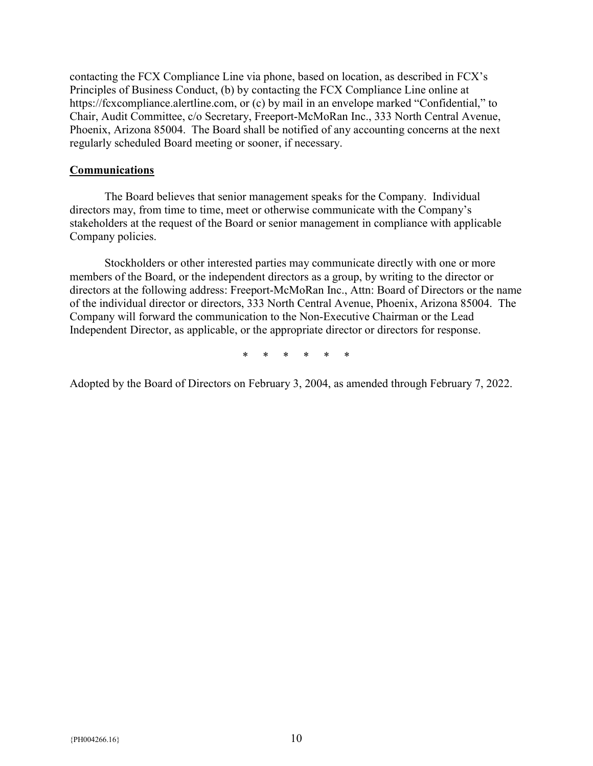contacting the FCX Compliance Line via phone, based on location, as described in FCX's Principles of Business Conduct, (b) by contacting the FCX Compliance Line online at https://fcxcompliance.alertline.com, or (c) by mail in an envelope marked "Confidential," to Chair, Audit Committee, c/o Secretary, Freeport-McMoRan Inc., 333 North Central Avenue, Phoenix, Arizona 85004. The Board shall be notified of any accounting concerns at the next regularly scheduled Board meeting or sooner, if necessary.

#### **Communications**

The Board believes that senior management speaks for the Company. Individual directors may, from time to time, meet or otherwise communicate with the Company's stakeholders at the request of the Board or senior management in compliance with applicable Company policies.

Stockholders or other interested parties may communicate directly with one or more members of the Board, or the independent directors as a group, by writing to the director or directors at the following address: Freeport-McMoRan Inc., Attn: Board of Directors or the name of the individual director or directors, 333 North Central Avenue, Phoenix, Arizona 85004. The Company will forward the communication to the Non-Executive Chairman or the Lead Independent Director, as applicable, or the appropriate director or directors for response.

\* \* \* \* \* \*

Adopted by the Board of Directors on February 3, 2004, as amended through February 7, 2022.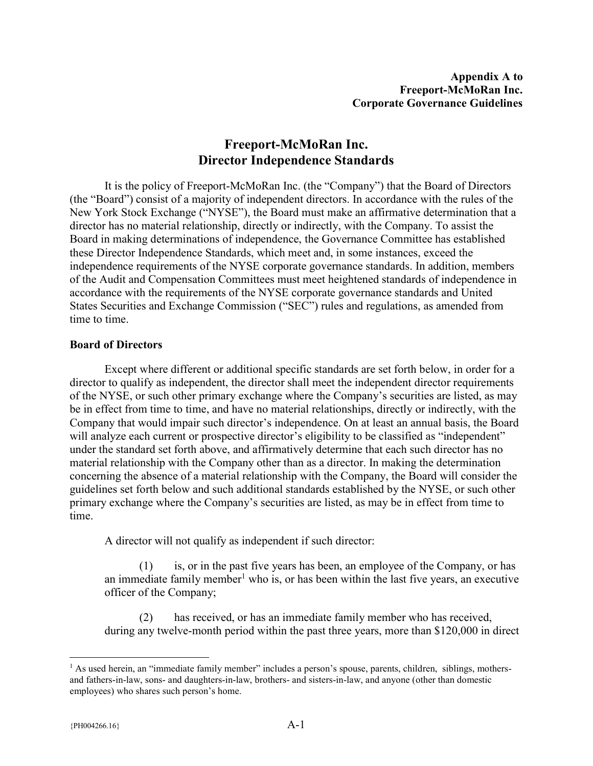# Freeport-McMoRan Inc. Director Independence Standards

It is the policy of Freeport-McMoRan Inc. (the "Company") that the Board of Directors (the "Board") consist of a majority of independent directors. In accordance with the rules of the New York Stock Exchange ("NYSE"), the Board must make an affirmative determination that a director has no material relationship, directly or indirectly, with the Company. To assist the Board in making determinations of independence, the Governance Committee has established these Director Independence Standards, which meet and, in some instances, exceed the independence requirements of the NYSE corporate governance standards. In addition, members of the Audit and Compensation Committees must meet heightened standards of independence in accordance with the requirements of the NYSE corporate governance standards and United States Securities and Exchange Commission ("SEC") rules and regulations, as amended from time to time.

# Board of Directors

Except where different or additional specific standards are set forth below, in order for a director to qualify as independent, the director shall meet the independent director requirements of the NYSE, or such other primary exchange where the Company's securities are listed, as may be in effect from time to time, and have no material relationships, directly or indirectly, with the Company that would impair such director's independence. On at least an annual basis, the Board will analyze each current or prospective director's eligibility to be classified as "independent" under the standard set forth above, and affirmatively determine that each such director has no material relationship with the Company other than as a director. In making the determination concerning the absence of a material relationship with the Company, the Board will consider the guidelines set forth below and such additional standards established by the NYSE, or such other primary exchange where the Company's securities are listed, as may be in effect from time to time.

A director will not qualify as independent if such director:

(1) is, or in the past five years has been, an employee of the Company, or has an immediate family member<sup>1</sup> who is, or has been within the last five years, an executive officer of the Company;

(2) has received, or has an immediate family member who has received, during any twelve-month period within the past three years, more than \$120,000 in direct

 $\overline{a}$ 

<sup>&</sup>lt;sup>1</sup> As used herein, an "immediate family member" includes a person's spouse, parents, children, siblings, mothersand fathers-in-law, sons- and daughters-in-law, brothers- and sisters-in-law, and anyone (other than domestic employees) who shares such person's home.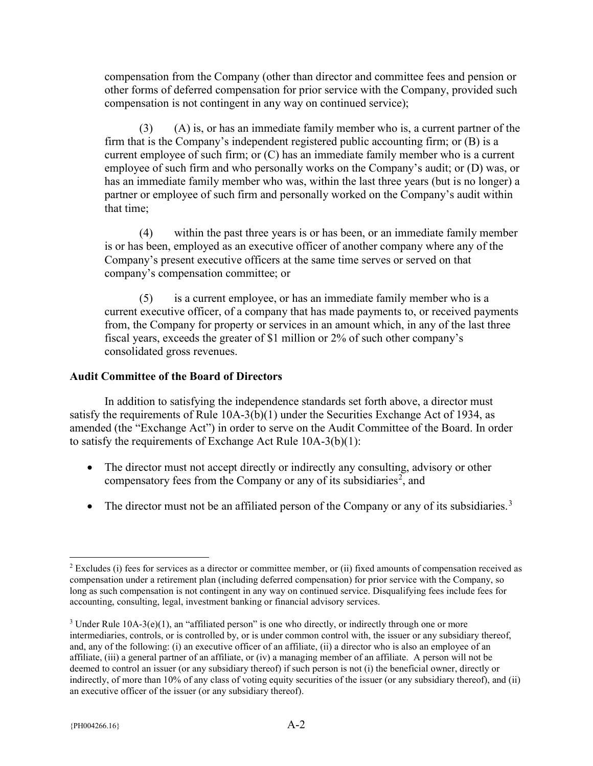compensation from the Company (other than director and committee fees and pension or other forms of deferred compensation for prior service with the Company, provided such compensation is not contingent in any way on continued service);

(3) (A) is, or has an immediate family member who is, a current partner of the firm that is the Company's independent registered public accounting firm; or (B) is a current employee of such firm; or (C) has an immediate family member who is a current employee of such firm and who personally works on the Company's audit; or (D) was, or has an immediate family member who was, within the last three years (but is no longer) a partner or employee of such firm and personally worked on the Company's audit within that time;

(4) within the past three years is or has been, or an immediate family member is or has been, employed as an executive officer of another company where any of the Company's present executive officers at the same time serves or served on that company's compensation committee; or

(5) is a current employee, or has an immediate family member who is a current executive officer, of a company that has made payments to, or received payments from, the Company for property or services in an amount which, in any of the last three fiscal years, exceeds the greater of \$1 million or 2% of such other company's consolidated gross revenues.

#### Audit Committee of the Board of Directors

In addition to satisfying the independence standards set forth above, a director must satisfy the requirements of Rule 10A-3(b)(1) under the Securities Exchange Act of 1934, as amended (the "Exchange Act") in order to serve on the Audit Committee of the Board. In order to satisfy the requirements of Exchange Act Rule 10A-3(b)(1):

- The director must not accept directly or indirectly any consulting, advisory or other compensatory fees from the Company or any of its subsidiaries<sup>2</sup>, and
- The director must not be an affiliated person of the Company or any of its subsidiaries.<sup>3</sup>

 $\overline{a}$ 

<sup>&</sup>lt;sup>2</sup> Excludes (i) fees for services as a director or committee member, or (ii) fixed amounts of compensation received as compensation under a retirement plan (including deferred compensation) for prior service with the Company, so long as such compensation is not contingent in any way on continued service. Disqualifying fees include fees for accounting, consulting, legal, investment banking or financial advisory services.

<sup>&</sup>lt;sup>3</sup> Under Rule  $10A-3(e)(1)$ , an "affiliated person" is one who directly, or indirectly through one or more intermediaries, controls, or is controlled by, or is under common control with, the issuer or any subsidiary thereof, and, any of the following: (i) an executive officer of an affiliate, (ii) a director who is also an employee of an affiliate, (iii) a general partner of an affiliate, or (iv) a managing member of an affiliate. A person will not be deemed to control an issuer (or any subsidiary thereof) if such person is not (i) the beneficial owner, directly or indirectly, of more than 10% of any class of voting equity securities of the issuer (or any subsidiary thereof), and (ii) an executive officer of the issuer (or any subsidiary thereof).